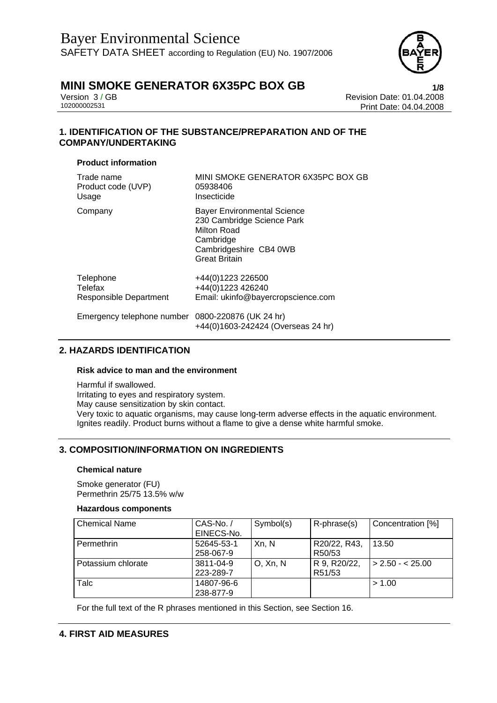

Version 3 / GB Revision Date: 01.04.2008 Print Date: 04.04.2008

## **1. IDENTIFICATION OF THE SUBSTANCE/PREPARATION AND OF THE COMPANY/UNDERTAKING**

### **Product information**

| Trade name                                        | MINI SMOKE GENERATOR 6X35PC BOX GB                                                                                                             |
|---------------------------------------------------|------------------------------------------------------------------------------------------------------------------------------------------------|
| Product code (UVP)                                | 05938406                                                                                                                                       |
| Usage                                             | Insecticide                                                                                                                                    |
| Company                                           | <b>Bayer Environmental Science</b><br>230 Cambridge Science Park<br>Milton Road<br>Cambridge<br>Cambridgeshire CB4 0WB<br><b>Great Britain</b> |
| Telephone                                         | +44(0)1223 226500                                                                                                                              |
| Telefax                                           | +44(0)1223 426240                                                                                                                              |
| Responsible Department                            | Email: ukinfo@bayercropscience.com                                                                                                             |
| Emergency telephone number 0800-220876 (UK 24 hr) | +44(0)1603-242424 (Overseas 24 hr)                                                                                                             |

## **2. HAZARDS IDENTIFICATION**

#### **Risk advice to man and the environment**

Harmful if swallowed. Irritating to eyes and respiratory system. May cause sensitization by skin contact. Very toxic to aquatic organisms, may cause long-term adverse effects in the aquatic environment. Ignites readily. Product burns without a flame to give a dense white harmful smoke.

## **3. COMPOSITION/INFORMATION ON INGREDIENTS**

#### **Chemical nature**

Smoke generator (FU) Permethrin 25/75 13.5% w/w

#### **Hazardous components**

| <b>Chemical Name</b> | CAS-No./<br>EINECS-No.  | Symbol(s) | R-phrase(s)            | Concentration [%]        |
|----------------------|-------------------------|-----------|------------------------|--------------------------|
| <b>Permethrin</b>    | 52645-53-1<br>258-067-9 | Xn, N     | R20/22, R43,<br>R50/53 | 13.50                    |
| Potassium chlorate   | 3811-04-9<br>223-289-7  | O, Xn, N  | R 9, R20/22,<br>R51/53 | $\vert$ > 2.50 - < 25.00 |
| Talc                 | 14807-96-6<br>238-877-9 |           |                        | > 1.00                   |

For the full text of the R phrases mentioned in this Section, see Section 16.

## **4. FIRST AID MEASURES**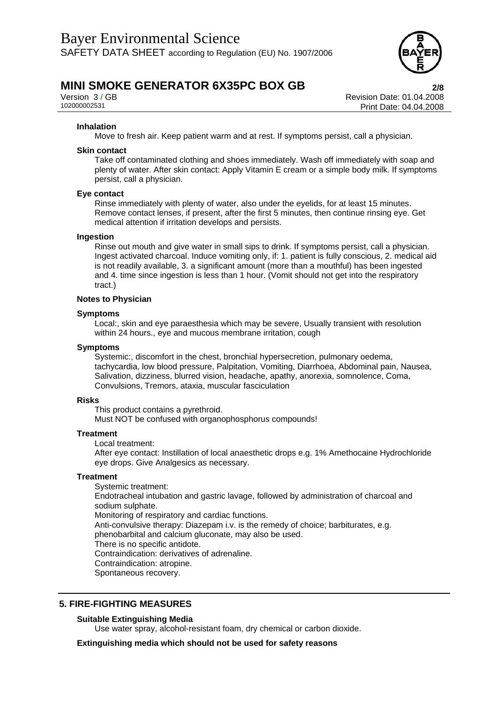

Version 3 / GB Revision Date: 01.04.2008 Print Date: 04.04.2008

#### **Inhalation**

Move to fresh air. Keep patient warm and at rest. If symptoms persist, call a physician.

#### **Skin contact**

Take off contaminated clothing and shoes immediately. Wash off immediately with soap and plenty of water. After skin contact: Apply Vitamin E cream or a simple body milk. If symptoms persist, call a physician.

#### **Eye contact**

Rinse immediately with plenty of water, also under the eyelids, for at least 15 minutes. Remove contact lenses, if present, after the first 5 minutes, then continue rinsing eye. Get medical attention if irritation develops and persists.

#### **Ingestion**

Rinse out mouth and give water in small sips to drink. If symptoms persist, call a physician. Ingest activated charcoal. Induce vomiting only, if: 1. patient is fully conscious, 2. medical aid is not readily available, 3. a significant amount (more than a mouthful) has been ingested and 4. time since ingestion is less than 1 hour. (Vomit should not get into the respiratory tract.)

#### **Notes to Physician**

#### **Symptoms**

Local:, skin and eye paraesthesia which may be severe, Usually transient with resolution within 24 hours., eye and mucous membrane irritation, cough

#### **Symptoms**

Systemic:, discomfort in the chest, bronchial hypersecretion, pulmonary oedema, tachycardia, low blood pressure, Palpitation, Vomiting, Diarrhoea, Abdominal pain, Nausea, Salivation, dizziness, blurred vision, headache, apathy, anorexia, somnolence, Coma, Convulsions, Tremors, ataxia, muscular fasciculation

#### **Risks**

This product contains a pyrethroid.

Must NOT be confused with organophosphorus compounds!

#### **Treatment**

Local treatment:

After eye contact: Instillation of local anaesthetic drops e.g. 1% Amethocaine Hydrochloride eye drops. Give Analgesics as necessary.

#### **Treatment**

Systemic treatment: Endotracheal intubation and gastric lavage, followed by administration of charcoal and sodium sulphate. Monitoring of respiratory and cardiac functions. Anti-convulsive therapy: Diazepam i.v. is the remedy of choice; barbiturates, e.g. phenobarbital and calcium gluconate, may also be used. There is no specific antidote. Contraindication: derivatives of adrenaline. Contraindication: atropine. Spontaneous recovery.

### **5. FIRE-FIGHTING MEASURES**

#### **Suitable Extinguishing Media**

Use water spray, alcohol-resistant foam, dry chemical or carbon dioxide.

**Extinguishing media which should not be used for safety reasons**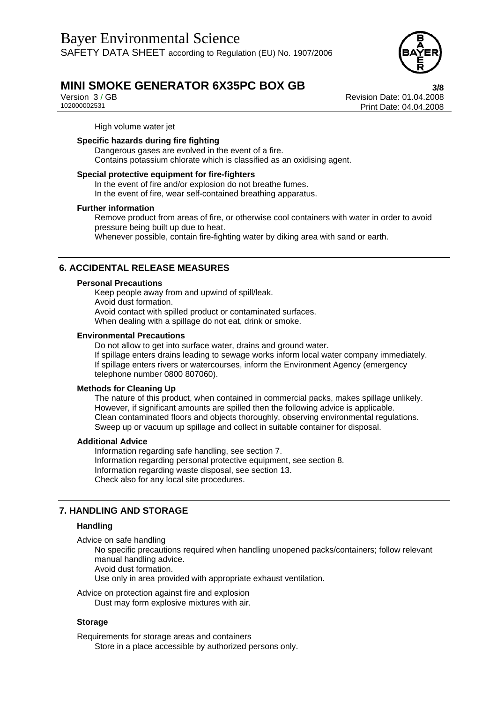

Version 3 / GB Revision Date: 01.04.2008 Print Date: 04.04.2008

High volume water jet

### **Specific hazards during fire fighting**

Dangerous gases are evolved in the event of a fire. Contains potassium chlorate which is classified as an oxidising agent.

#### **Special protective equipment for fire-fighters**

In the event of fire and/or explosion do not breathe fumes. In the event of fire, wear self-contained breathing apparatus.

#### **Further information**

Remove product from areas of fire, or otherwise cool containers with water in order to avoid pressure being built up due to heat. Whenever possible, contain fire-fighting water by diking area with sand or earth.

### **6. ACCIDENTAL RELEASE MEASURES**

#### **Personal Precautions**

Keep people away from and upwind of spill/leak. Avoid dust formation. Avoid contact with spilled product or contaminated surfaces. When dealing with a spillage do not eat, drink or smoke.

#### **Environmental Precautions**

Do not allow to get into surface water, drains and ground water. If spillage enters drains leading to sewage works inform local water company immediately. If spillage enters rivers or watercourses, inform the Environment Agency (emergency telephone number 0800 807060).

#### **Methods for Cleaning Up**

The nature of this product, when contained in commercial packs, makes spillage unlikely. However, if significant amounts are spilled then the following advice is applicable. Clean contaminated floors and objects thoroughly, observing environmental regulations. Sweep up or vacuum up spillage and collect in suitable container for disposal.

#### **Additional Advice**

Information regarding safe handling, see section 7. Information regarding personal protective equipment, see section 8. Information regarding waste disposal, see section 13. Check also for any local site procedures.

### **7. HANDLING AND STORAGE**

### **Handling**

Advice on safe handling

No specific precautions required when handling unopened packs/containers; follow relevant manual handling advice.

Avoid dust formation.

Use only in area provided with appropriate exhaust ventilation.

Advice on protection against fire and explosion

Dust may form explosive mixtures with air.

#### **Storage**

Requirements for storage areas and containers Store in a place accessible by authorized persons only.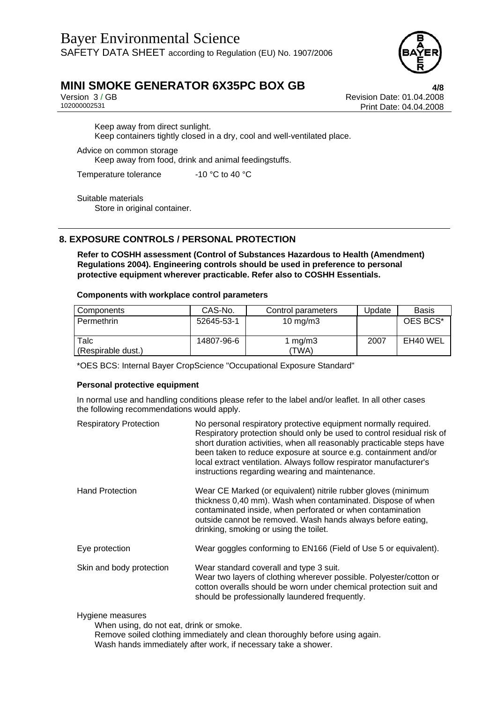

Version 3 / GB Revision Date: 01.04.2008 Print Date: 04.04.2008

Keep away from direct sunlight. Keep containers tightly closed in a dry, cool and well-ventilated place.

Advice on common storage Keep away from food, drink and animal feedingstuffs.

Temperature tolerance -10 °C to 40 °C

Suitable materials Store in original container.

## **8. EXPOSURE CONTROLS / PERSONAL PROTECTION**

**Refer to COSHH assessment (Control of Substances Hazardous to Health (Amendment) Regulations 2004). Engineering controls should be used in preference to personal protective equipment wherever practicable. Refer also to COSHH Essentials.** 

#### **Components with workplace control parameters**

| Components                 | CAS-No.    | Control parameters | Update | <b>Basis</b> |
|----------------------------|------------|--------------------|--------|--------------|
| Permethrin                 | 52645-53-1 | 10 mg/m $3$        |        | OES BCS*     |
| Talc<br>(Respirable dust.) | 14807-96-6 | mg/m3<br>(TWA)     | 2007   | EH40 WEL     |

\*OES BCS: Internal Bayer CropScience "Occupational Exposure Standard"

### **Personal protective equipment**

In normal use and handling conditions please refer to the label and/or leaflet. In all other cases the following recommendations would apply.

| <b>Respiratory Protection</b> | No personal respiratory protective equipment normally required.<br>Respiratory protection should only be used to control residual risk of<br>short duration activities, when all reasonably practicable steps have<br>been taken to reduce exposure at source e.g. containment and/or<br>local extract ventilation. Always follow respirator manufacturer's<br>instructions regarding wearing and maintenance. |
|-------------------------------|----------------------------------------------------------------------------------------------------------------------------------------------------------------------------------------------------------------------------------------------------------------------------------------------------------------------------------------------------------------------------------------------------------------|
| <b>Hand Protection</b>        | Wear CE Marked (or equivalent) nitrile rubber gloves (minimum<br>thickness 0,40 mm). Wash when contaminated. Dispose of when<br>contaminated inside, when perforated or when contamination<br>outside cannot be removed. Wash hands always before eating,<br>drinking, smoking or using the toilet.                                                                                                            |
| Eye protection                | Wear goggles conforming to EN166 (Field of Use 5 or equivalent).                                                                                                                                                                                                                                                                                                                                               |
| Skin and body protection      | Wear standard coverall and type 3 suit.<br>Wear two layers of clothing wherever possible. Polyester/cotton or<br>cotton overalls should be worn under chemical protection suit and<br>should be professionally laundered frequently.                                                                                                                                                                           |

#### Hygiene measures

When using, do not eat, drink or smoke.

Remove soiled clothing immediately and clean thoroughly before using again. Wash hands immediately after work, if necessary take a shower.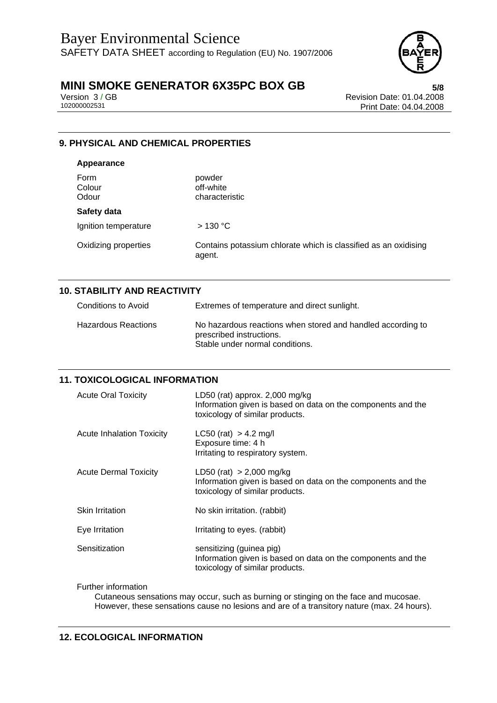

Version 3 / GB Revision Date: 01.04.2008 Print Date: 04.04.2008

## **9. PHYSICAL AND CHEMICAL PROPERTIES**

## **Appearance**  Form powder Colour off-white Odour characteristic **Safety data**  Ignition temperature > 130 °C Oxidizing properties Contains potassium chlorate which is classified as an oxidising agent.

## **10. STABILITY AND REACTIVITY**

| Conditions to Avoid | Extremes of temperature and direct sunlight.                                                                               |
|---------------------|----------------------------------------------------------------------------------------------------------------------------|
| Hazardous Reactions | No hazardous reactions when stored and handled according to<br>prescribed instructions.<br>Stable under normal conditions. |

## **11. TOXICOLOGICAL INFORMATION**

| <b>Acute Oral Toxicity</b>       | LD50 (rat) approx. $2,000$ mg/kg<br>Information given is based on data on the components and the<br>toxicology of similar products. |
|----------------------------------|-------------------------------------------------------------------------------------------------------------------------------------|
| <b>Acute Inhalation Toxicity</b> | $LC50$ (rat) > 4.2 mg/l<br>Exposure time: 4 h<br>Irritating to respiratory system.                                                  |
| <b>Acute Dermal Toxicity</b>     | LD50 (rat) $> 2,000$ mg/kg<br>Information given is based on data on the components and the<br>toxicology of similar products.       |
| <b>Skin Irritation</b>           | No skin irritation. (rabbit)                                                                                                        |
| Eye Irritation                   | Irritating to eyes. (rabbit)                                                                                                        |
| Sensitization                    | sensitizing (guinea pig)<br>Information given is based on data on the components and the<br>toxicology of similar products.         |

Further information

Cutaneous sensations may occur, such as burning or stinging on the face and mucosae. However, these sensations cause no lesions and are of a transitory nature (max. 24 hours).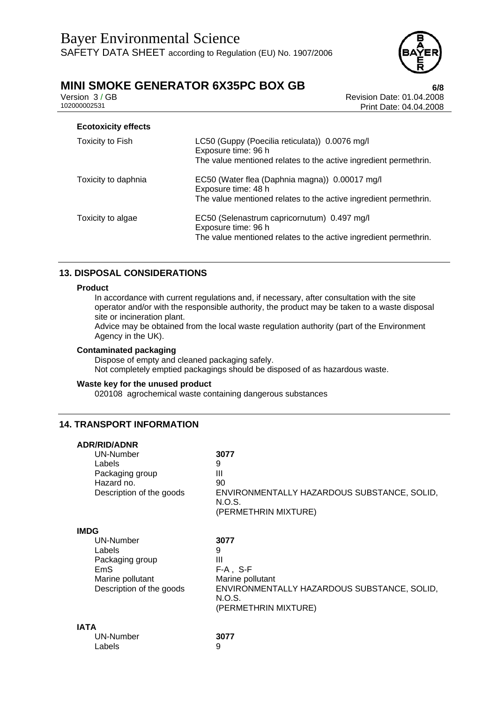

Version 3 / GB Revision Date: 01.04.2008 Print Date: 04.04.2008

| <b>Ecotoxicity effects</b> |                                                                                                                                           |
|----------------------------|-------------------------------------------------------------------------------------------------------------------------------------------|
| Toxicity to Fish           | LC50 (Guppy (Poecilia reticulata)) 0.0076 mg/l<br>Exposure time: 96 h<br>The value mentioned relates to the active ingredient permethrin. |
| Toxicity to daphnia        | EC50 (Water flea (Daphnia magna)) 0.00017 mg/l<br>Exposure time: 48 h<br>The value mentioned relates to the active ingredient permethrin. |
| Toxicity to algae          | EC50 (Selenastrum capricornutum) 0.497 mg/l<br>Exposure time: 96 h<br>The value mentioned relates to the active ingredient permethrin.    |

## **13. DISPOSAL CONSIDERATIONS**

#### **Product**

In accordance with current regulations and, if necessary, after consultation with the site operator and/or with the responsible authority, the product may be taken to a waste disposal site or incineration plant.

Advice may be obtained from the local waste regulation authority (part of the Environment Agency in the UK).

#### **Contaminated packaging**

Dispose of empty and cleaned packaging safely. Not completely emptied packagings should be disposed of as hazardous waste.

#### **Waste key for the unused product**

020108 agrochemical waste containing dangerous substances

### **14. TRANSPORT INFORMATION**

**ADR/RID/ADNR** 

| AUR/RIU/AUNR<br><b>UN-Number</b><br>Labels<br>Packaging group<br>Hazard no.<br>Description of the goods      | 3077<br>9<br>Ш<br>90<br>ENVIRONMENTALLY HAZARDOUS SUBSTANCE, SOLID,<br>N.O.S.<br>(PERMETHRIN MIXTURE)                              |
|--------------------------------------------------------------------------------------------------------------|------------------------------------------------------------------------------------------------------------------------------------|
| <b>IMDG</b><br>UN-Number<br>Labels<br>Packaging group<br>EmS<br>Marine pollutant<br>Description of the goods | 3077<br>9<br>Ш<br>$F-A$ , S-F<br>Marine pollutant<br>ENVIRONMENTALLY HAZARDOUS SUBSTANCE, SOLID,<br>N.O.S.<br>(PERMETHRIN MIXTURE) |
| <b>IATA</b><br>UN-Number<br>Labels                                                                           | 3077<br>9                                                                                                                          |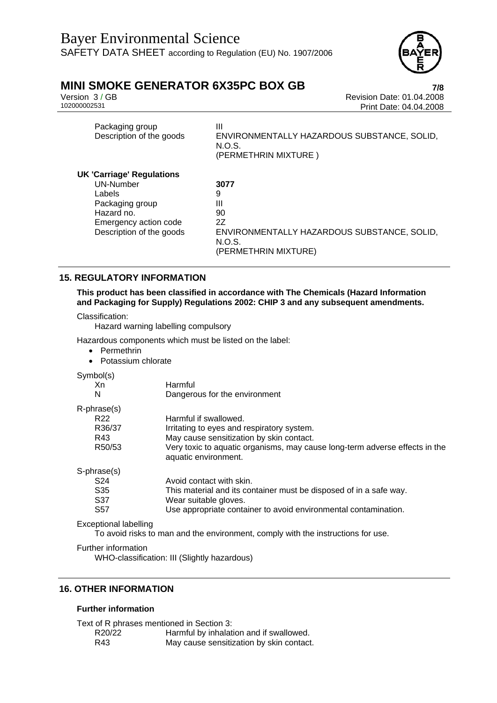

Version 3 / GB Revision Date: 01.04.2008 Print Date: 04.04.2008

| Packaging group          |                                             |
|--------------------------|---------------------------------------------|
| Description of the goods | ENVIRONMENTALLY HAZARDOUS SUBSTANCE, SOLID, |
|                          | N.O.S.                                      |
|                          | (PERMETHRIN MIXTURE)                        |

#### **UK 'Carriage' Regulations** UN-Number **3077** Labels 9 Packaging group III Hazard no. 90 Emergency action code 2Z Description of the goods ENVIRONMENTALLY HAZARDOUS SUBSTANCE, SOLID, N.O.S. (PERMETHRIN MIXTURE)

## **15. REGULATORY INFORMATION**

**This product has been classified in accordance with The Chemicals (Hazard Information and Packaging for Supply) Regulations 2002: CHIP 3 and any subsequent amendments.** 

Classification:

Hazard warning labelling compulsory

Hazardous components which must be listed on the label:

- Permethrin
- Potassium chlorate

Symbol(s)

| $\sim$ , $\sim$       |                                                                                                     |
|-----------------------|-----------------------------------------------------------------------------------------------------|
| Xn                    | Harmful                                                                                             |
| N                     | Dangerous for the environment                                                                       |
| R-phrase(s)           |                                                                                                     |
| R <sub>22</sub>       | Harmful if swallowed.                                                                               |
| R36/37                | Irritating to eyes and respiratory system.                                                          |
| R43                   | May cause sensitization by skin contact.                                                            |
| R50/53                | Very toxic to aquatic organisms, may cause long-term adverse effects in the<br>aquatic environment. |
| S-phrase(s)           |                                                                                                     |
| S <sub>24</sub>       | Avoid contact with skin.                                                                            |
| S <sub>35</sub>       | This material and its container must be disposed of in a safe way.                                  |
| S37                   | Wear suitable gloves.                                                                               |
| S <sub>57</sub>       | Use appropriate container to avoid environmental contamination.                                     |
| Exceptional labelling |                                                                                                     |

To avoid risks to man and the environment, comply with the instructions for use.

Further information

WHO-classification: III (Slightly hazardous)

## **16. OTHER INFORMATION**

#### **Further information**

Text of R phrases mentioned in Section 3: R20/22 Harmful by inhalation and if swallowed.

R43 May cause sensitization by skin contact.